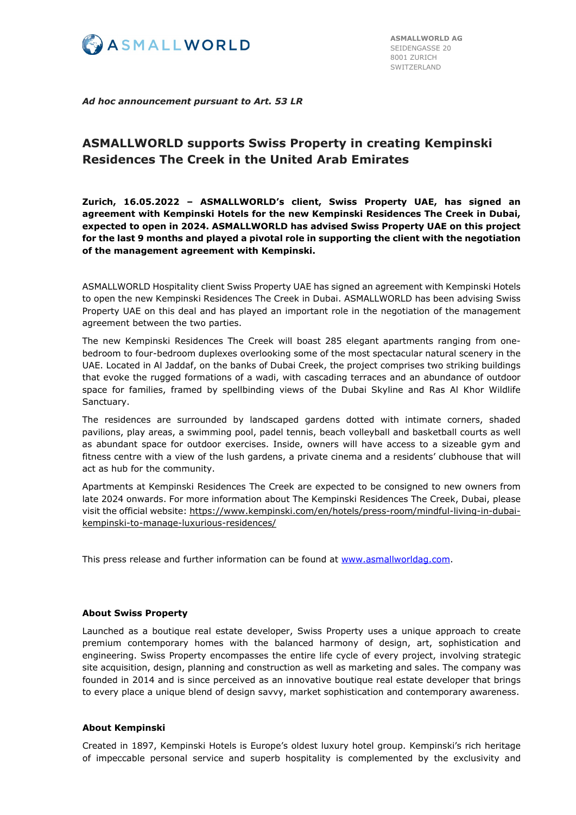

*Ad hoc announcement pursuant to Art. 53 LR*

# **ASMALLWORLD supports Swiss Property in creating Kempinski Residences The Creek in the United Arab Emirates**

**Zurich, 16.05.2022 – ASMALLWORLD's client, Swiss Property UAE, has signed an agreement with Kempinski Hotels for the new Kempinski Residences The Creek in Dubai, expected to open in 2024. ASMALLWORLD has advised Swiss Property UAE on this project for the last 9 months and played a pivotal role in supporting the client with the negotiation of the management agreement with Kempinski.**

ASMALLWORLD Hospitality client Swiss Property UAE has signed an agreement with Kempinski Hotels to open the new Kempinski Residences The Creek in Dubai. ASMALLWORLD has been advising Swiss Property UAE on this deal and has played an important role in the negotiation of the management agreement between the two parties.

The new Kempinski Residences The Creek will boast 285 elegant apartments ranging from onebedroom to four-bedroom duplexes overlooking some of the most spectacular natural scenery in the UAE. Located in Al Jaddaf, on the banks of Dubai Creek, the project comprises two striking buildings that evoke the rugged formations of a wadi, with cascading terraces and an abundance of outdoor space for families, framed by spellbinding views of the Dubai Skyline and Ras Al Khor Wildlife Sanctuary.

The residences are surrounded by landscaped gardens dotted with intimate corners, shaded pavilions, play areas, a swimming pool, padel tennis, beach volleyball and basketball courts as well as abundant space for outdoor exercises. Inside, owners will have access to a sizeable gym and fitness centre with a view of the lush gardens, a private cinema and a residents' clubhouse that will act as hub for the community.

Apartments at Kempinski Residences The Creek are expected to be consigned to new owners from late 2024 onwards. For more information about The Kempinski Residences The Creek, Dubai, please visit the official website: [https://www.kempinski.com/en/hotels/press-room/mindful-living-in-dubai](https://www.kempinski.com/en/hotels/press-room/mindful-living-in-dubai-kempinski-to-manage-luxurious-residences/)[kempinski-to-manage-luxurious-residences/](https://www.kempinski.com/en/hotels/press-room/mindful-living-in-dubai-kempinski-to-manage-luxurious-residences/)

This press release and further information can be found at [www.asmallworldag.com.](http://www.asmallworldag.com/)

## **About Swiss Property**

Launched as a boutique real estate developer, Swiss Property uses a unique approach to create premium contemporary homes with the balanced harmony of design, art, sophistication and engineering. Swiss Property encompasses the entire life cycle of every project, involving strategic site acquisition, design, planning and construction as well as marketing and sales. The company was founded in 2014 and is since perceived as an innovative boutique real estate developer that brings to every place a unique blend of design savvy, market sophistication and contemporary awareness.

### **About Kempinski**

Created in 1897, Kempinski Hotels is Europe's oldest luxury hotel group. Kempinski's rich heritage of impeccable personal service and superb hospitality is complemented by the exclusivity and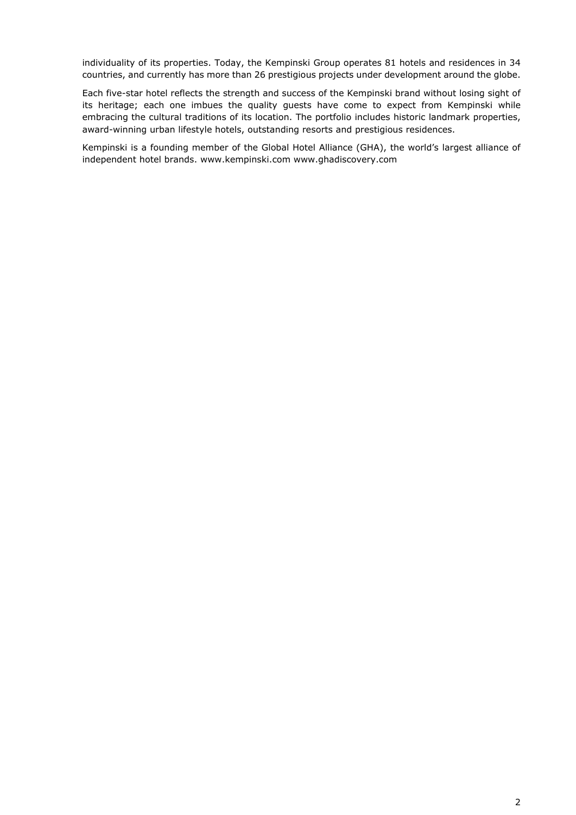individuality of its properties. Today, the Kempinski Group operates 81 hotels and residences in 34 countries, and currently has more than 26 prestigious projects under development around the globe.

Each five-star hotel reflects the strength and success of the Kempinski brand without losing sight of its heritage; each one imbues the quality guests have come to expect from Kempinski while embracing the cultural traditions of its location. The portfolio includes historic landmark properties, award-winning urban lifestyle hotels, outstanding resorts and prestigious residences.

Kempinski is a founding member of the Global Hotel Alliance (GHA), the world's largest alliance of independent hotel brands. [www.kempinski.com](http://www.kempinski.com/) [www.ghadiscovery.com](http://www.ghadiscovery.com/)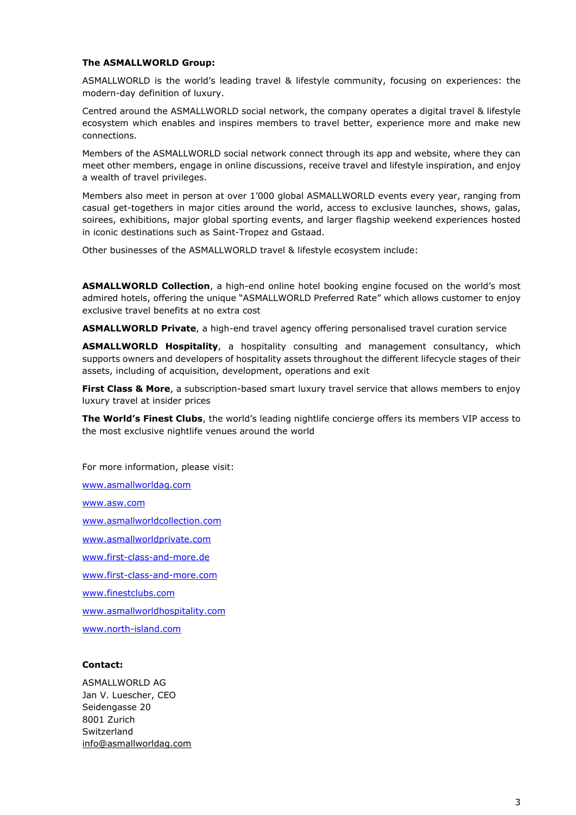#### **The ASMALLWORLD Group:**

ASMALLWORLD is the world's leading travel & lifestyle community, focusing on experiences: the modern-day definition of luxury.

Centred around the ASMALLWORLD social network, the company operates a digital travel & lifestyle ecosystem which enables and inspires members to travel better, experience more and make new connections.

Members of the ASMALLWORLD social network connect through its app and website, where they can meet other members, engage in online discussions, receive travel and lifestyle inspiration, and enjoy a wealth of travel privileges.

Members also meet in person at over 1'000 global ASMALLWORLD events every year, ranging from casual get-togethers in major cities around the world, access to exclusive launches, shows, galas, soirees, exhibitions, major global sporting events, and larger flagship weekend experiences hosted in iconic destinations such as Saint-Tropez and Gstaad.

Other businesses of the ASMALLWORLD travel & lifestyle ecosystem include:

**ASMALLWORLD Collection**, a high-end online hotel booking engine focused on the world's most admired hotels, offering the unique "ASMALLWORLD Preferred Rate" which allows customer to enjoy exclusive travel benefits at no extra cost

**ASMALLWORLD Private**, a high-end travel agency offering personalised travel curation service

**ASMALLWORLD Hospitality**, a hospitality consulting and management consultancy, which supports owners and developers of hospitality assets throughout the different lifecycle stages of their assets, including of acquisition, development, operations and exit

**First Class & More**, a subscription-based smart luxury travel service that allows members to enjoy luxury travel at insider prices

**The World's Finest Clubs**, the world's leading nightlife concierge offers its members VIP access to the most exclusive nightlife venues around the world

For more information, please visit: [www.asmallworldag.com](http://www.asmallworldag.com/) [www.asw.com](http://www.asw.com/) [www.asmallworldcollection.com](http://www.asmallworldcollection.com/) [www.asmallworldprivate.com](http://www.asmallworldprivate.com/) [www.first-class-and-more.de](http://www.first-class-and-more.de/) [www.first-class-and-more.com](http://www.first-class-and-more.com/) [www.finestclubs.com](http://www.finestclubs.com/) [www.asmallworldhospitality.com](http://www.asmallworldhospitality.com/) [www.north-island.com](http://www.north-island.com/)

#### **Contact:**

ASMALLWORLD AG Jan V. Luescher, CEO Seidengasse 20 8001 Zurich Switzerland [info@asmallworldag.com](mailto:info@asmallworldag.com)